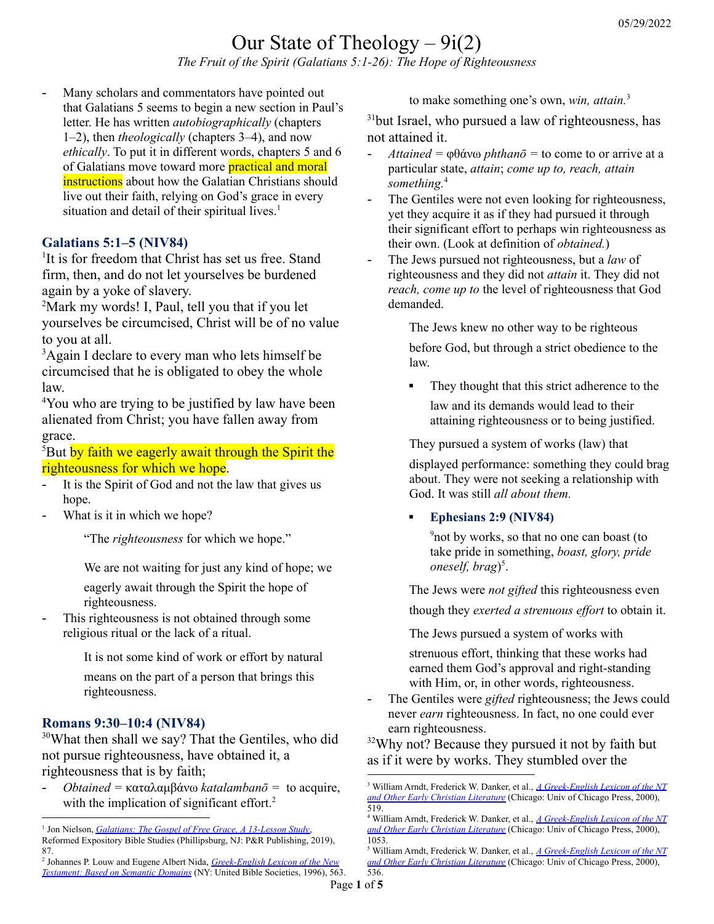# Our State of Theology  $-9i(2)$

*The Fruit of the Spirit (Galatians 5:1-26): The Hope of Righteousness*

- Many scholars and commentators have pointed out that Galatians 5 seems to begin a new section in Paul's letter. He has written *autobiographically* (chapters 1–2), then *theologically* (chapters 3–4), and now *ethically*. To put it in different words, chapters 5 and 6 of Galatians move toward more **practical and moral** instructions about how the Galatian Christians should live out their faith, relying on God's grace in every situation and detail of their spiritual lives.<sup>1</sup>

#### **Galatians 5:1–5 (NIV84)**

<sup>1</sup>It is for freedom that Christ has set us free. Stand firm, then, and do not let yourselves be burdened again by a yoke of slavery.

<sup>2</sup>Mark my words! I, Paul, tell you that if you let yourselves be circumcised, Christ will be of no value to you at all.

<sup>3</sup>Again I declare to every man who lets himself be circumcised that he is obligated to obey the whole law.

<sup>4</sup>You who are trying to be justified by law have been alienated from Christ; you have fallen away from grace.

<sup>5</sup>But by faith we eagerly await through the Spirit the righteousness for which we hope.

- It is the Spirit of God and not the law that gives us hope.
- What is it in which we hope?

"The *righteousness* for which we hope."

We are not waiting for just any kind of hope; we

eagerly await through the Spirit the hope of righteousness.

This righteousness is not obtained through some religious ritual or the lack of a ritual.

It is not some kind of work or effort by natural

means on the part of a person that brings this righteousness.

#### **Romans 9:30–10:4 (NIV84)**

<sup>30</sup>What then shall we say? That the Gentiles, who did not pursue righteousness, have obtained it, a righteousness that is by faith;

- *Obtained =* καταλαμβάνω *katalambanō =* to acquire, with the implication of significant effort.<sup>2</sup>

to make something one's own, *win, attain.* 3

<sup>31</sup>but Israel, who pursued a law of righteousness, has not attained it.

- $\textit{Attained} = \phi \theta \hat{\alpha} \times \phi \textit{phthan} \overline{\phi} = \text{to come to or arrive at a}$ particular state, *attain*; *come up to, reach, attain something.* 4
- The Gentiles were not even looking for righteousness, yet they acquire it as if they had pursued it through their significant effort to perhaps win righteousness as their own. (Look at definition of *obtained.*)
- The Jews pursued not righteousness, but a *law* of righteousness and they did not *attain* it. They did not *reach, come up to* the level of righteousness that God demanded.

The Jews knew no other way to be righteous

before God, but through a strict obedience to the law.

■ They thought that this strict adherence to the law and its demands would lead to their attaining righteousness or to being justified.

They pursued a system of works (law) that

displayed performance: something they could brag about. They were not seeking a relationship with God. It was still *all about them.*

#### ▪ **Ephesians 2:9 (NIV84)**

<sup>9</sup>not by works, so that no one can boast (to take pride in something, *boast, glory, pride oneself, brag*) 5 .

The Jews were *not gifted* this righteousness even

though they *exerted a strenuous ef ort* to obtain it.

The Jews pursued a system of works with

strenuous effort, thinking that these works had earned them God's approval and right-standing with Him, or, in other words, righteousness.

- The Gentiles were *gifted* righteousness; the Jews could never *earn* righteousness. In fact, no one could ever earn righteousness.

<sup>32</sup>Why not? Because they pursued it not by faith but as if it were by works. They stumbled over the

<sup>1</sup> Jon Nielson, *[Galatians:](https://ref.ly/logosres/rebs69ga?ref=Bible.Ga5.1-12&off=61&ctx=THE+BIG+PICTURE%0a~Many+scholars+and+commen) The Gospel of Free Grace, A 13-Lesson Study*, Reformed Expository Bible Studies (Phillipsburg, NJ: P&R Publishing, 2019), 87.

<sup>2</sup> Johannes P. Louw and Eugene Albert Nida, *[Greek-English](https://ref.ly/logosres/louwnida?ref=LouwNida.57.56&off=20&ctx=57.56+%CE%BA%CE%B1%CF%84%CE%B1%CE%BB%CE%B1%CE%BC%CE%B2%CE%B1%CC%81%CE%BD%CF%89a%3a~+to+acquire%2c+with+th) Lexicon of the New [Testament:](https://ref.ly/logosres/louwnida?ref=LouwNida.57.56&off=20&ctx=57.56+%CE%BA%CE%B1%CF%84%CE%B1%CE%BB%CE%B1%CE%BC%CE%B2%CE%B1%CC%81%CE%BD%CF%89a%3a~+to+acquire%2c+with+th) Based on Semantic Domains* (NY: United Bible Societies, 1996), 563.

<sup>3</sup> William Arndt, Frederick W. Danker, et al., *A [Greek-English](https://ref.ly/logosres/bdag?ref=Page.p+519&off=6791&ctx=%2c+26%3b+PsSol+8%3a19)%0a%E2%91%A0+~to+make+someth.+one%E2%80%99) Lexicon of the NT and Other Early Christian [Literature](https://ref.ly/logosres/bdag?ref=Page.p+519&off=6791&ctx=%2c+26%3b+PsSol+8%3a19)%0a%E2%91%A0+~to+make+someth.+one%E2%80%99)* (Chicago: Univ of Chicago Press, 2000), 519.

<sup>4</sup> William Arndt, Frederick W. Danker, et al., *A [Greek-English](https://ref.ly/logosres/bdag?ref=Page.p+1053&off=6190&ctx=rona+militaris%E2%80%99).%0a%E2%91%A2+~to+come+to+or+arrive) Lexicon of the NT and Other Early Christian [Literature](https://ref.ly/logosres/bdag?ref=Page.p+1053&off=6190&ctx=rona+militaris%E2%80%99).%0a%E2%91%A2+~to+come+to+or+arrive)* (Chicago: Univ of Chicago Press, 2000), 1053.

<sup>5</sup> William Arndt, Frederick W. Danker, et al., *A [Greek-English](https://ref.ly/logosres/bdag?ref=Page.p+536&off=3797&ctx=uot.+fr.+the+OT).%0a%E2%91%A0+~to+take+pride+in+som) Lexicon of the NT and Other Early Christian [Literature](https://ref.ly/logosres/bdag?ref=Page.p+536&off=3797&ctx=uot.+fr.+the+OT).%0a%E2%91%A0+~to+take+pride+in+som)* (Chicago: Univ of Chicago Press, 2000), 536.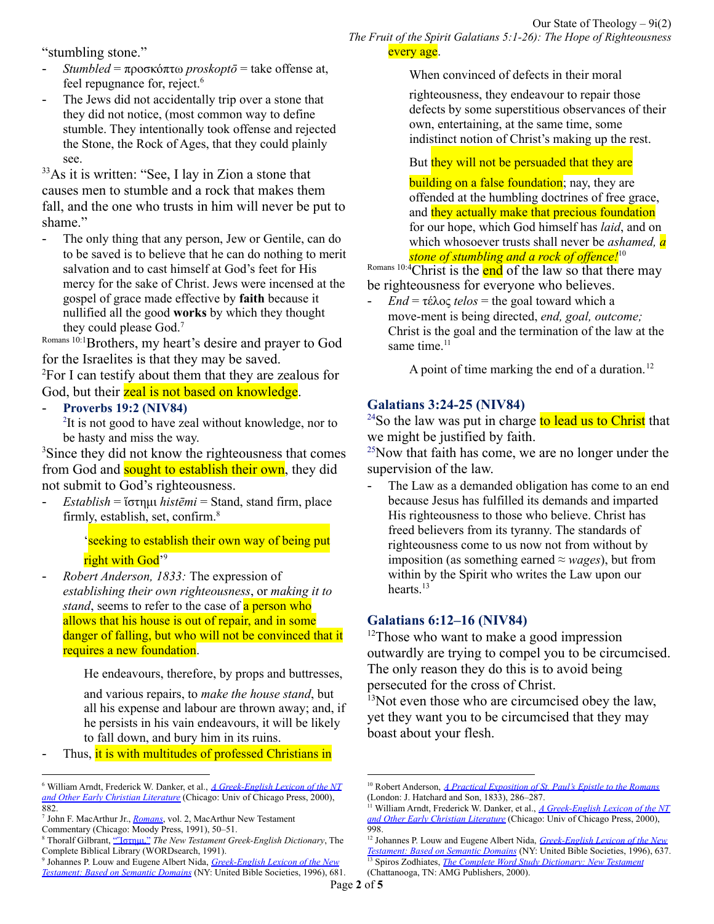"stumbling stone."

- *Stumbled* = προσκόπτω *proskoptō* = take offense at, feel repugnance for, reject. 6
- The Jews did not accidentally trip over a stone that they did not notice, (most common way to define stumble. They intentionally took offense and rejected the Stone, the Rock of Ages, that they could plainly see.

<sup>33</sup>As it is written: "See, I lay in Zion a stone that causes men to stumble and a rock that makes them fall, and the one who trusts in him will never be put to shame."

- The only thing that any person, Jew or Gentile, can do to be saved is to believe that he can do nothing to merit salvation and to cast himself at God's feet for His mercy for the sake of Christ. Jews were incensed at the gospel of grace made effective by **faith** because it nullified all the good **works** by which they thought they could please God. 7

Romans 10:1Brothers, my heart's desire and prayer to God for the Israelites is that they may be saved.

<sup>2</sup>For I can testify about them that they are zealous for God, but their zeal is not based on knowledge.

- **Proverbs 19:2 (NIV84)**
	- <sup>2</sup>It is not good to have zeal without knowledge, nor to be hasty and miss the way.

<sup>3</sup>Since they did not know the righteousness that comes from God and **sought to establish their own**, they did not submit to God's righteousness.

- *Establish* = ἵστημι *histēmi* = Stand, stand firm, place firmly, establish, set, confirm. 8

> 'seeking to establish their own way of being put right with God'<sup>9</sup>

- *Robert Anderson, 1833:* The expression of *establishing their own righteousness*, or *making it to stand*, seems to refer to the case of a person who allows that his house is out of repair, and in some danger of falling, but who will not be convinced that it requires a new foundation.

He endeavours, therefore, by props and buttresses,

and various repairs, to *make the house stand*, but all his expense and labour are thrown away; and, if he persists in his vain endeavours, it will be likely to fall down, and bury him in its ruins.

Thus, it is with multitudes of professed Christians in

When convinced of defects in their moral

righteousness, they endeavour to repair those defects by some superstitious observances of their own, entertaining, at the same time, some indistinct notion of Christ's making up the rest.

# But they will not be persuaded that they are

building on a false foundation; nay, they are offended at the humbling doctrines of free grace, and they actually make that precious foundation for our hope, which God himself has *laid*, and on which whosoever trusts shall never be *ashamed, a stone of stumbling and a rock of of ence!* 10

Romans 10:4 Christ is the end of the law so that there may be righteousness for everyone who believes.

 $End = \tau \in \lambda$ ος *telos* = the goal toward which a move-ment is being directed, *end, goal, outcome;* Christ is the goal and the termination of the law at the same time.<sup>11</sup>

A point of time marking the end of a duration.<sup>12</sup>

#### **Galatians 3:24-25 (NIV84)**

<sup>24</sup>So the law was put in charge to lead us to Christ that we might be justified by faith.

 $25$ Now that faith has come, we are no longer under the supervision of the law.

- The Law as a demanded obligation has come to an end because Jesus has fulfilled its demands and imparted His righteousness to those who believe. Christ has freed believers from its tyranny. The standards of righteousness come to us now not from without by imposition (as something earned  $\approx$  *wages*), but from within by the Spirit who writes the Law upon our hearts.<sup>13</sup>

#### **Galatians 6:12–16 (NIV84)**

 $12$ Those who want to make a good impression outwardly are trying to compel you to be circumcised. The only reason they do this is to avoid being persecuted for the cross of Christ.

 $13$ Not even those who are circumcised obey the law, yet they want you to be circumcised that they may boast about your flesh.

<sup>6</sup> William Arndt, Frederick W. Danker, et al., *A [Greek-English](https://ref.ly/logosres/bdag?ref=Page.p+882&off=2665&ctx=.+ext.+of+1+and+2%0a%E2%93%90+~take+offense+at%2c+fee) Lexicon of the NT and Other Early Christian [Literature](https://ref.ly/logosres/bdag?ref=Page.p+882&off=2665&ctx=.+ext.+of+1+and+2%0a%E2%93%90+~take+offense+at%2c+fee)* (Chicago: Univ of Chicago Press, 2000), 882.

<sup>7</sup> John F. MacArthur Jr., *[Romans](https://ref.ly/logosres/rommntc?ref=Bible.Ro9.30-33&off=4755&ctx=he+stumbling+stone.+~The+only+thing+that+)*, vol. 2, MacArthur New Testament Commentary (Chicago: Moody Press, 1991), 50–51.

<sup>8</sup> Thoralf Gilbrant, ["Ἵστημι,"](https://ref.ly/logosres/ws-combiblibgk?hw=%E1%BC%B5%CF%83%CF%84%CE%B7%CE%BC%CE%B9&off=26&ctx=%E1%BC%B5%CF%83%CF%84%CE%B7%CE%BC%CE%B9+hist%C4%93mi+verb%0a~Stand%2c+stand+firm%2c+p) *The New Testament Greek-English Dictionary*, The Complete Biblical Library (WORDsearch, 1991).

<sup>9</sup> Johannes P. Louw and Eugene Albert Nida, *[Greek-English](https://ref.ly/logosres/louwnida?ref=LouwNida.76.21&off=150&ctx=+%CE%B6%CE%B7%CF%84%CE%BF%CF%85%CD%82%CE%BD%CF%84%CE%B5%CF%82+%CF%83%CF%84%CE%B7%CD%82%CF%83%CE%B1%CE%B9+~%E2%80%98seeking+to+establis) Lexicon of the New [Testament:](https://ref.ly/logosres/louwnida?ref=LouwNida.76.21&off=150&ctx=+%CE%B6%CE%B7%CF%84%CE%BF%CF%85%CD%82%CE%BD%CF%84%CE%B5%CF%82+%CF%83%CF%84%CE%B7%CD%82%CF%83%CE%B1%CE%B9+~%E2%80%98seeking+to+establis) Based on Semantic Domains* (NY: United Bible Societies, 1996), 681.

<sup>10</sup> Robert Anderson, *A Practical [Exposition](https://ref.ly/logosres/exporomans?ref=Bible.Ro10.1-13&off=1637&ctx=ch+he+here+employs.+~For+the+expression+o) of St. Paul's Epistle to the Romans* (London: J. Hatchard and Son, 1833), 286–287.

<sup>11</sup> William Arndt, Frederick W. Danker, et al., *A [Greek-English](https://ref.ly/logosres/bdag?ref=Page.p+998&off=7697&ctx=%2c+in+the+sense+that+~Christ+is+the+goal+a) Lexicon of the NT and Other Early Christian [Literature](https://ref.ly/logosres/bdag?ref=Page.p+998&off=7697&ctx=%2c+in+the+sense+that+~Christ+is+the+goal+a)* (Chicago: Univ of Chicago Press, 2000), 998.

<sup>12</sup> Johannes P. Louw and Eugene Albert Nida, *[Greek-English](https://ref.ly/logosres/louwnida?ref=LouwNida.67.66&off=40&ctx=%3b+%CF%83%CF%85%CE%BD%CF%84%CE%B5%CC%81%CE%BB%CE%B5%CE%B9%CE%B1%2c+%CE%B1%CF%82+f%3a+~a+point+of+time+mark) Lexicon of the New [Testament:](https://ref.ly/logosres/louwnida?ref=LouwNida.67.66&off=40&ctx=%3b+%CF%83%CF%85%CE%BD%CF%84%CE%B5%CC%81%CE%BB%CE%B5%CE%B9%CE%B1%2c+%CE%B1%CF%82+f%3a+~a+point+of+time+mark) Based on Semantic Domains* (NY: United Bible Societies, 1996), 637.

<sup>13</sup> Spiros Zodhiates, *The Complete Word Study [Dictionary:](https://ref.ly/logosres/wsntdict?ref=GreekStrongs.5056&off=3359&ctx=es.+This+means+that+~the+Law+as+a+demande) New Testament* (Chattanooga, TN: AMG Publishers, 2000).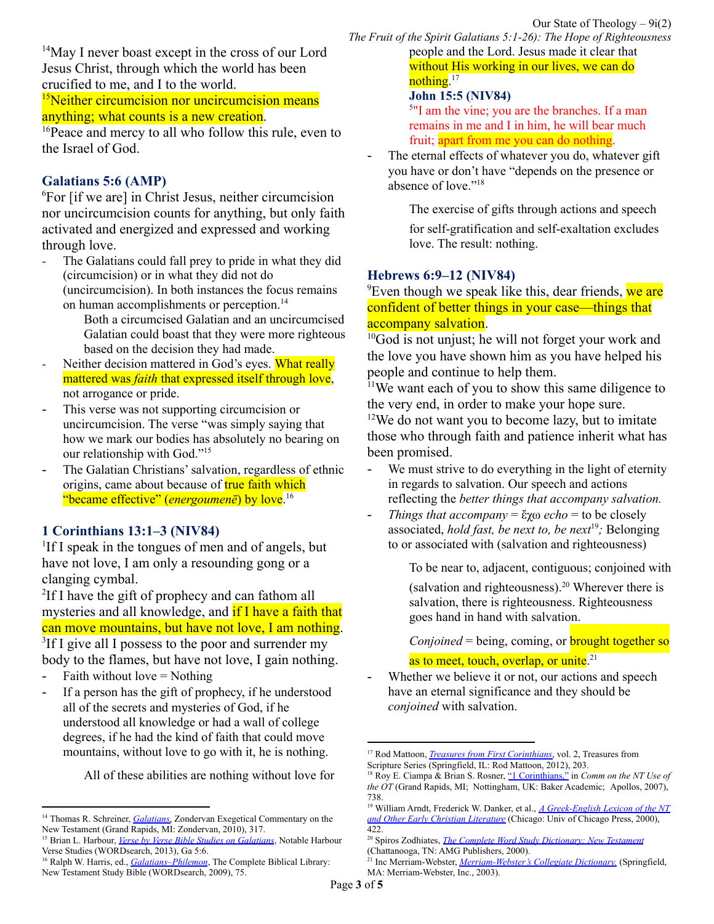<sup>14</sup>May I never boast except in the cross of our Lord Jesus Christ, through which the world has been crucified to me, and I to the world.

<sup>15</sup>Neither circumcision nor uncircumcision means anything; what counts is a new creation.

<sup>16</sup>Peace and mercy to all who follow this rule, even to the Israel of God.

### **Galatians 5:6 (AMP)**

<sup>6</sup>For [if we are] in Christ Jesus, neither circumcision nor uncircumcision counts for anything, but only faith activated and energized and expressed and working through love.

*-* The Galatians could fall prey to pride in what they did (circumcision) or in what they did not do (uncircumcision). In both instances the focus remains on human accomplishments or perception. 14

Both a circumcised Galatian and an uncircumcised Galatian could boast that they were more righteous based on the decision they had made.

- *-* Neither decision mattered in God's eyes. What really mattered was *faith* that expressed itself through love, not arrogance or pride.
- This verse was not supporting circumcision or uncircumcision. The verse "was simply saying that how we mark our bodies has absolutely no bearing on our relationship with God." 15
- The Galatian Christians' salvation, regardless of ethnic origins, came about because of **true faith which** "became effective" (*energoumenē*) by love. 16

#### **1 Corinthians 13:1–3 (NIV84)**

<sup>1</sup>If I speak in the tongues of men and of angels, but have not love, I am only a resounding gong or a clanging cymbal.

<sup>2</sup>If I have the gift of prophecy and can fathom all mysteries and all knowledge, and if I have a faith that can move mountains, but have not love, I am nothing. <sup>3</sup>If I give all I possess to the poor and surrender my body to the flames, but have not love, I gain nothing.

- Faith without  $love = Nothing$
- If a person has the gift of prophecy, if he understood all of the secrets and mysteries of God, if he understood all knowledge or had a wall of college degrees, if he had the kind of faith that could move mountains, without love to go with it, he is nothing.

All of these abilities are nothing without love for

*The Fruit of the Spirit Galatians 5:1-26): The Hope of Righteousness* people and the Lord. Jesus made it clear that without His working in our lives, we can do nothing.<sup>17</sup>

#### **John 15:5 (NIV84)**

<sup>5"</sup>I am the vine; you are the branches. If a man remains in me and I in him, he will bear much fruit; apart from me you can do nothing.

- The eternal effects of whatever you do, whatever gift you have or don't have "depends on the presence or absence of love." 18

The exercise of gifts through actions and speech

for self-gratification and self-exaltation excludes love. The result: nothing.

#### **Hebrews 6:9–12 (NIV84)**

<sup>9</sup>Even though we speak like this, dear friends, we are confident of better things in your case—things that accompany salvation.

<sup>10</sup>God is not unjust; he will not forget your work and the love you have shown him as you have helped his people and continue to help them.

<sup>11</sup>We want each of you to show this same diligence to the very end, in order to make your hope sure.

 $12$ We do not want you to become lazy, but to imitate those who through faith and patience inherit what has been promised.

- We must strive to do everything in the light of eternity in regards to salvation. Our speech and actions reflecting the *better things that accompany salvation.*
- *Things that accompany* = ἔχω *echo* = to be closely associated, *hold fast, be next to, be next* 19 *;* Belonging to or associated with (salvation and righteousness)

To be near to, adjacent, contiguous; conjoined with

(salvation and righteousness). <sup>20</sup> Wherever there is salvation, there is righteousness. Righteousness goes hand in hand with salvation.

*Conjoined* = being, coming, or **brought together so** 

as to meet, touch, overlap, or unite.<sup>21</sup>

<sup>14</sup> Thomas R. Schreiner, *[Galatians](https://ref.ly/logosres/exegcommgal?ref=Bible.Ga5.6&off=1451&ctx=+found+only+in+him.%0a~The+Galatians+could+)*, Zondervan Exegetical Commentary on the New Testament (Grand Rapids, MI: Zondervan, 2010), 317.

<sup>15</sup> Brian L. Harbour, *Verse by Verse Bible Studies on [Galatians](https://ref.ly/logosres/ws-d009cc2012434f4a8f38351fe3535b93?ref=Bible.Ga5.6&off=397&ctx=+uncircumcision.+He+~was+simply+saying+th)*, Notable Harbour Verse Studies (WORDsearch, 2013), Ga 5:6.

<sup>16</sup> Ralph W. Harris, ed., *[Galatians–Philemon](https://ref.ly/logosres/ws-b80f90a1857b4454b361a0909240524f?ref=Bible.Ga5.4-6&off=1122&ctx=were+numbered+among+~the+Galatian+Christi)*, The Complete Biblical Library: New Testament Study Bible (WORDsearch, 2009), 75.

Whether we believe it or not, our actions and speech have an eternal significance and they should be *conjoined* with salvation.

<sup>17</sup> Rod Mattoon, *Treasures from First [Corinthians](https://ref.ly/logosres/treasures67co1vol2?ref=Bible.1Co13.2&off=96&ctx=e.+Paul+states+that+~if+a+person+has+the+)*, vol. 2, Treasures from Scripture Series (Springfield, IL: Rod Mattoon, 2012), 203.

<sup>18</sup> Roy E. Ciampa & Brian S. Rosner, "1 [Corinthians,"](https://ref.ly/logosres/comntuseot?ref=Bible.1Co13.2-3&off=210&ctx=gical+connotations)+~depends+on+the+prese) in *Comm on the NT Use of the OT* (Grand Rapids, MI; Nottingham, UK: Baker Academic; Apollos, 2007), 738.

<sup>19</sup> William Arndt, Frederick W. Danker, et al., *A [Greek-English](https://ref.ly/logosres/bdag?ref=Page.p+422&off=5273&ctx=%CF%89%CD%82%CF%82+%CF%83%CF%87%CF%89%CD%82)+J+4%3a52.%0a%E2%91%AA+~to+be+closely+associ) Lexicon of the NT and Other Early Christian [Literature](https://ref.ly/logosres/bdag?ref=Page.p+422&off=5273&ctx=%CF%89%CD%82%CF%82+%CF%83%CF%87%CF%89%CD%82)+J+4%3a52.%0a%E2%91%AA+~to+be+closely+associ)* (Chicago: Univ of Chicago Press, 2000), 422.

<sup>20</sup> Spiros Zodhiates, *The Complete Word Study [Dictionary:](https://ref.ly/logosres/wsntdict?ref=GreekStrongs.2192&off=8945&ctx=ept.%3a+Deut.+30%3a20).+~To+be+near+to%2c+adjac) New Testament*

<sup>(</sup>Chattanooga, TN: AMG Publishers, 2000).

<sup>21</sup> Inc Merriam-Webster, *[Merriam-Webster's](https://ref.ly/logosres/mwdict11?hw=Conjoined&off=38&ctx=nd%5c+adjective%0a1570%3a+~being%2c+coming%2c+or+br) Collegiate Dictionary.* (Springfield, MA: Merriam-Webster, Inc., 2003).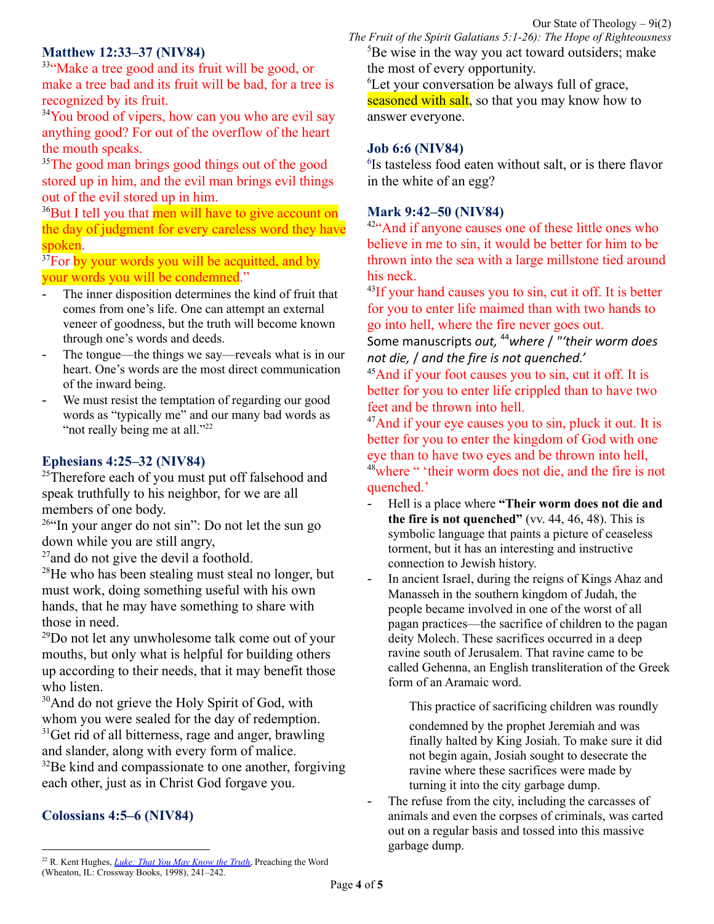## **Matthew 12:33–37 (NIV84)**

<sup>33"</sup>Make a tree good and its fruit will be good, or make a tree bad and its fruit will be bad, for a tree is recognized by its fruit.

<sup>34</sup>You brood of vipers, how can you who are evil say anything good? For out of the overflow of the heart the mouth speaks.

<sup>35</sup>The good man brings good things out of the good stored up in him, and the evil man brings evil things out of the evil stored up in him.

<sup>36</sup>But I tell you that men will have to give account on the day of judgment for every careless word they have spoken.

<sup>37</sup>For by your words you will be acquitted, and by your words you will be condemned."

- The inner disposition determines the kind of fruit that comes from one's life. One can attempt an external veneer of goodness, but the truth will become known through one's words and deeds.
- The tongue—the things we say—reveals what is in our heart. One's words are the most direct communication of the inward being.
- We must resist the temptation of regarding our good words as "typically me" and our many bad words as "not really being me at all."<sup>22</sup>

## **Ephesians 4:25–32 (NIV84)**

<sup>25</sup>Therefore each of you must put off falsehood and speak truthfully to his neighbor, for we are all members of one body.

 $26$ "In your anger do not sin": Do not let the sun go down while you are still angry,

 $27$  and do not give the devil a foothold.

 $28$ He who has been stealing must steal no longer, but must work, doing something useful with his own hands, that he may have something to share with those in need.

 $^{29}$ Do not let any unwholesome talk come out of your mouths, but only what is helpful for building others up according to their needs, that it may benefit those who listen.

<sup>30</sup>And do not grieve the Holy Spirit of God, with whom you were sealed for the day of redemption.  $31$ Get rid of all bitterness, rage and anger, brawling and slander, along with every form of malice. <sup>32</sup>Be kind and compassionate to one another, forgiving each other, just as in Christ God forgave you.

## **Colossians 4:5–6 (NIV84)**

*The Fruit of the Spirit Galatians 5:1-26): The Hope of Righteousness*  ${}^{5}$ Be wise in the way you act toward outsiders; make the most of every opportunity.

<sup>6</sup>Let your conversation be always full of grace, seasoned with salt, so that you may know how to answer everyone.

#### **Job 6:6 (NIV84)**

6 Is tasteless food eaten without salt, or is there flavor in the white of an egg?

#### **Mark 9:42–50 (NIV84)**

<sup>42</sup>"And if anyone causes one of these little ones who believe in me to sin, it would be better for him to be thrown into the sea with a large millstone tied around his neck.

<sup>43</sup>If your hand causes you to sin, cut it off. It is better for you to enter life maimed than with two hands to go into hell, where the fire never goes out.

Some manuscripts *out,* <sup>44</sup>*where* / *"'their worm does not die,* / *and the fire is not quenched.'*

<sup>45</sup>And if your foot causes you to sin, cut it off. It is better for you to enter life crippled than to have two feet and be thrown into hell.

<sup>47</sup>And if your eye causes you to sin, pluck it out. It is better for you to enter the kingdom of God with one eye than to have two eyes and be thrown into hell, <sup>48</sup>where " 'their worm does not die, and the fire is not quenched.'

- Hell is a place where **"Their worm does not die and the fire is not quenched"** (vv. 44, 46, 48). This is symbolic language that paints a picture of ceaseless torment, but it has an interesting and instructive connection to Jewish history.
- In ancient Israel, during the reigns of Kings Ahaz and Manasseh in the southern kingdom of Judah, the people became involved in one of the worst of all pagan practices—the sacrifice of children to the pagan deity Molech. These sacrifices occurred in a deep ravine south of Jerusalem. That ravine came to be called Gehenna, an English transliteration of the Greek form of an Aramaic word.

This practice of sacrificing children was roundly

condemned by the prophet Jeremiah and was finally halted by King Josiah. To make sure it did not begin again, Josiah sought to desecrate the ravine where these sacrifices were made by turning it into the city garbage dump.

The refuse from the city, including the carcasses of animals and even the corpses of criminals, was carted out on a regular basis and tossed into this massive garbage dump.

<sup>22</sup> R. Kent Hughes, *Luke: That You May [Know](https://ref.ly/logosres/prwdlk1?ref=Bible.Lk6.43-45&off=5470&ctx=is+heart%E2%80%9D+(v.+45a).+~The+inner+dispositio) the Truth*, Preaching the Word (Wheaton, IL: Crossway Books, 1998), 241–242.